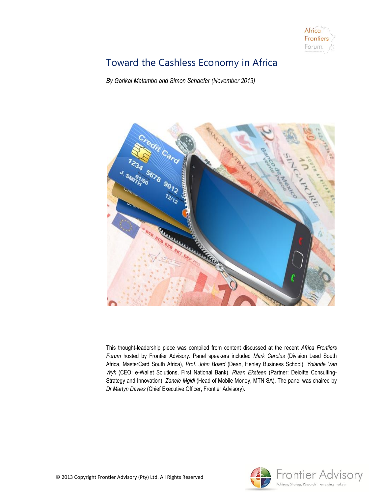

# Toward the Cashless Economy in Africa

*By Garikai Matambo and Simon Schaefer (November 2013)*



This thought-leadership piece was compiled from content discussed at the recent *Africa Frontiers Forum* hosted by Frontier Advisory. Panel speakers included *Mark Carolus* (Division Lead South Africa, MasterCard South Africa), *Prof. John Board* (Dean, Henley Business School), *Yolande Van Wyk* (CEO: e-Wallet Solutions, First National Bank), *Riaan Eksteen* (Partner: Deloitte Consulting-Strategy and Innovation), *Zanele Mgidi* (Head of Mobile Money, MTN SA). The panel was chaired by *Dr Martyn Davies* (Chief Executive Officer, Frontier Advisory).

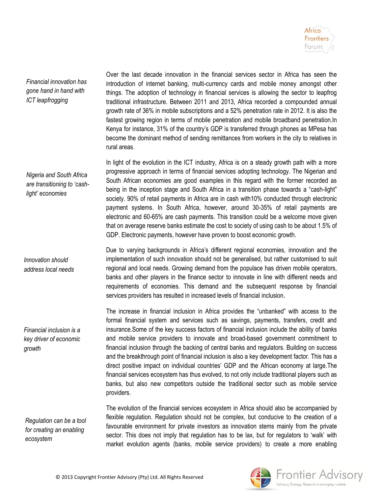

*Financial innovation has gone hand in hand with ICT leapfrogging*

Over the last decade innovation in the financial services sector in Africa has seen the introduction of internet banking, multi-currency cards and mobile money amongst other things. The adoption of technology in financial services is allowing the sector to leapfrog traditional infrastructure. Between 2011 and 2013, Africa recorded a compounded annual growth rate of 36% in mobile subscriptions and a 52% penetration rate in 2012. It is also the fastest growing region in terms of mobile penetration and mobile broadband penetration.In Kenya for instance, 31% of the country's GDP is transferred through phones as MPesa has become the dominant method of sending remittances from workers in the city to relatives in rural areas.

In light of the evolution in the ICT industry, Africa is on a steady growth path with a more progressive approach in terms of financial services adopting technology. The Nigerian and South African economies are good examples in this regard with the former recorded as being in the inception stage and South Africa in a transition phase towards a "cash-light" society. 90% of retail payments in Africa are in cash with10% conducted through electronic payment systems. In South Africa, however, around 30-35% of retail payments are electronic and 60-65% are cash payments. This transition could be a welcome move given that on average reserve banks estimate the cost to society of using cash to be about 1.5% of GDP. Electronic payments, however have proven to boost economic growth.

Due to varying backgrounds in Africa's different regional economies, innovation and the implementation of such innovation should not be generalised, but rather customised to suit regional and local needs. Growing demand from the populace has driven mobile operators, banks and other players in the finance sector to innovate in line with different needs and requirements of economies. This demand and the subsequent response by financial services providers has resulted in increased levels of financial inclusion.

The increase in financial inclusion in Africa provides the "unbanked" with access to the formal financial system and services such as savings, payments, transfers, credit and insurance.Some of the key success factors of financial inclusion include the ability of banks and mobile service providers to innovate and broad-based government commitment to financial inclusion through the backing of central banks and regulators. Building on success and the breakthrough point of financial inclusion is also a key development factor. This has a direct positive impact on individual countries' GDP and the African economy at large.The financial services ecosystem has thus evolved, to not only include traditional players such as banks, but also new competitors outside the traditional sector such as mobile service providers.

The evolution of the financial services ecosystem in Africa should also be accompanied by flexible regulation. Regulation should not be complex, but conducive to the creation of a favourable environment for private investors as innovation stems mainly from the private sector. This does not imply that regulation has to be lax, but for regulators to 'walk' with market evolution agents (banks, mobile service providers) to create a more enabling

*Nigeria and South Africa are transitioning to 'cashlight' economies*

*Innovation should address local needs*

*Financial inclusion is a key driver of economic growth* 

*Regulation can be a tool for creating an enabling ecosystem*

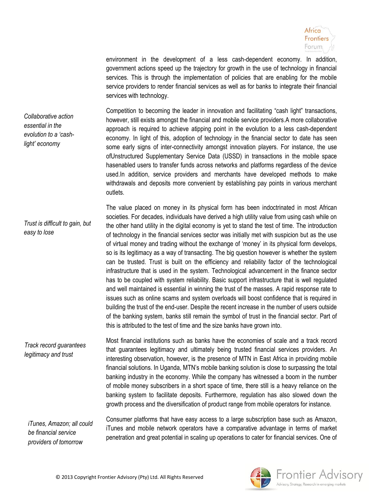

environment in the development of a less cash-dependent economy. In addition, government actions speed up the trajectory for growth in the use of technology in financial services. This is through the implementation of policies that are enabling for the mobile service providers to render financial services as well as for banks to integrate their financial services with technology.

*Collaborative action essential in the evolution to a 'cashlight' economy*

*Trust is difficult to gain, but* 

*easy to lose*

Competition to becoming the leader in innovation and facilitating "cash light" transactions, however, still exists amongst the financial and mobile service providers.A more collaborative approach is required to achieve atipping point in the evolution to a less cash-dependent economy. In light of this, adoption of technology in the financial sector to date has seen some early signs of inter-connectivity amongst innovation players. For instance, the use ofUnstructured Supplementary Service Data (USSD) in transactions in the mobile space hasenabled users to transfer funds across networks and platforms regardless of the device used.In addition, service providers and merchants have developed methods to make withdrawals and deposits more convenient by establishing pay points in various merchant outlets.

The value placed on money in its physical form has been indoctrinated in most African societies. For decades, individuals have derived a high utility value from using cash while on the other hand utility in the digital economy is yet to stand the test of time. The introduction of technology in the financial services sector was initially met with suspicion but as the use of virtual money and trading without the exchange of 'money' in its physical form develops, so is its legitimacy as a way of transacting. The big question however is whether the system can be trusted. Trust is built on the efficiency and reliability factor of the technological infrastructure that is used in the system. Technological advancement in the finance sector has to be coupled with system reliability. Basic support infrastructure that is well regulated and well maintained is essential in winning the trust of the masses. A rapid response rate to issues such as online scams and system overloads will boost confidence that is required in building the trust of the end-user. Despite the recent increase in the number of users outside of the banking system, banks still remain the symbol of trust in the financial sector. Part of this is attributed to the test of time and the size banks have grown into.

Most financial institutions such as banks have the economies of scale and a track record that guarantees legitimacy and ultimately being trusted financial services providers. An interesting observation, however, is the presence of MTN in East Africa in providing mobile financial solutions. In Uganda, MTN's mobile banking solution is close to surpassing the total banking industry in the economy. While the company has witnessed a boom in the number of mobile money subscribers in a short space of time, there still is a heavy reliance on the banking system to facilitate deposits. Furthermore, regulation has also slowed down the growth process and the diversification of product range from mobile operators for instance. *Track record guarantees legitimacy and trust*

*iTunes, Amazon; all could be financial service providers of tomorrow*

Consumer platforms that have easy access to a large subscription base such as Amazon, iTunes and mobile network operators have a comparative advantage in terms of market penetration and great potential in scaling up operations to cater for financial services. One of

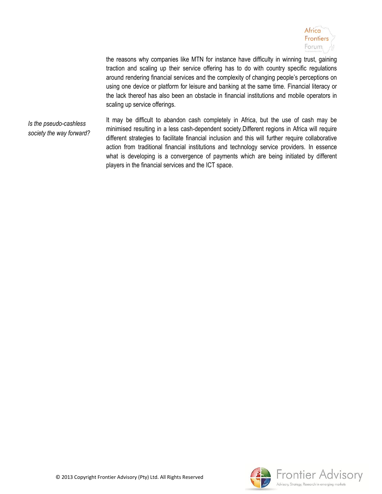

the reasons why companies like MTN for instance have difficulty in winning trust, gaining traction and scaling up their service offering has to do with country specific regulations around rendering financial services and the complexity of changing people's perceptions on using one device or platform for leisure and banking at the same time. Financial literacy or the lack thereof has also been an obstacle in financial institutions and mobile operators in scaling up service offerings.

*Is the pseudo-cashless society the way forward?* It may be difficult to abandon cash completely in Africa, but the use of cash may be minimised resulting in a less cash-dependent society.Different regions in Africa will require different strategies to facilitate financial inclusion and this will further require collaborative action from traditional financial institutions and technology service providers. In essence what is developing is a convergence of payments which are being initiated by different players in the financial services and the ICT space.